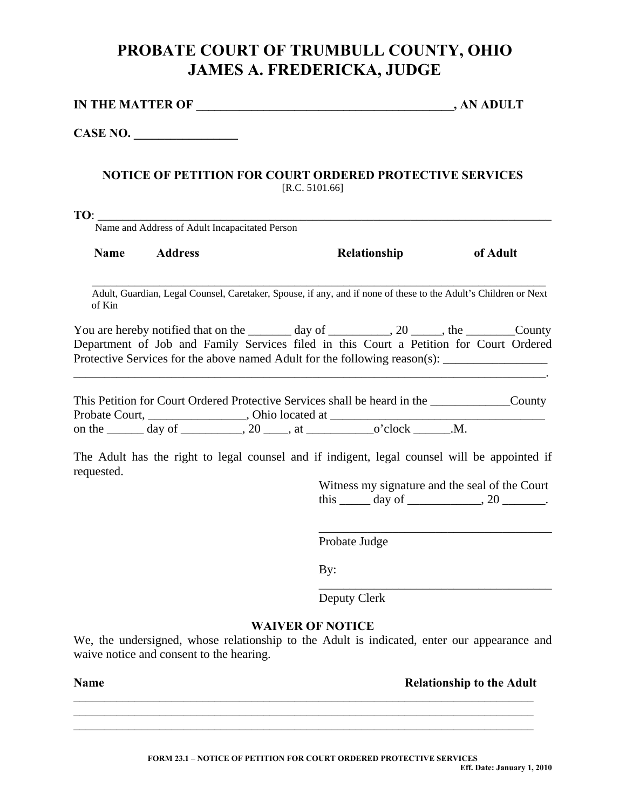## **PROBATE COURT OF TRUMBULL COUNTY, OHIO JAMES A. FREDERICKA, JUDGE**

| <b>IN THE MATTER OF</b> | , AN ADULT |
|-------------------------|------------|
|                         |            |

**CASE NO. \_\_\_\_\_\_\_\_\_\_\_\_\_\_\_\_\_** 

## **NOTICE OF PETITION FOR COURT ORDERED PROTECTIVE SERVICES**  [R.C. 5101.66]

**TO**:  $\frac{1}{\text{Name and Address of Adult Incapacitated Person}}$ 

| Name<br>Relationship<br><b>Address</b> | of Adult |
|----------------------------------------|----------|
|----------------------------------------|----------|

 $\overline{\phantom{a}}$  , and the contribution of the contribution of the contribution of the contribution of the contribution of the contribution of the contribution of the contribution of the contribution of the contribution of the Adult, Guardian, Legal Counsel, Caretaker, Spouse, if any, and if none of these to the Adult's Children or Next of Kin

You are hereby notified that on the  $\_\_\_\_\_\$  day of  $\_\_\_\_$ , 20  $\_\_\_\_\_\_\_\_\_\_\$  the  $\_\_\_\_\_$ County Department of Job and Family Services filed in this Court a Petition for Court Ordered Protective Services for the above named Adult for the following reason(s): \_\_\_\_\_\_\_\_\_\_\_\_\_\_\_\_\_\_\_\_\_\_\_\_\_

\_\_\_\_\_\_\_\_\_\_\_\_\_\_\_\_\_\_\_\_\_\_\_\_\_\_\_\_\_\_\_\_\_\_\_\_\_\_\_\_\_\_\_\_\_\_\_\_\_\_\_\_\_\_\_\_\_\_\_\_\_\_\_\_\_\_\_\_\_\_\_\_\_\_\_\_\_.

This Petition for Court Ordered Protective Services shall be heard in the  $\sim$  County Probate Court, \_\_\_\_\_\_\_\_\_\_\_\_\_\_\_\_\_, Ohio located at \_\_\_\_\_\_\_\_\_\_\_\_\_\_\_\_\_\_\_\_\_\_\_\_\_\_\_\_\_\_ on the  $\_\_\_\_$  day of  $\_\_\_\_\_$ , 20  $\_\_\_\_\_$ , at  $\_\_\_\_$  o'clock  $\_\_\_\_$ . M.

The Adult has the right to legal counsel and if indigent, legal counsel will be appointed if requested.

> Witness my signature and the seal of the Court this  $\_\_\_$  day of  $\_\_\_\_\_\_$ , 20  $\_\_\_\_\_\_\_\.$

\_\_\_\_\_\_\_\_\_\_\_\_\_\_\_\_\_\_\_\_\_\_\_\_\_\_\_\_\_\_\_\_\_\_\_\_\_\_

\_\_\_\_\_\_\_\_\_\_\_\_\_\_\_\_\_\_\_\_\_\_\_\_\_\_\_\_\_\_\_\_\_\_\_\_\_\_

Probate Judge

By:

Deputy Clerk

## **WAIVER OF NOTICE**

We, the undersigned, whose relationship to the Adult is indicated, enter our appearance and waive notice and consent to the hearing.

\_\_\_\_\_\_\_\_\_\_\_\_\_\_\_\_\_\_\_\_\_\_\_\_\_\_\_\_\_\_\_\_\_\_\_\_\_\_\_\_\_\_\_\_\_\_\_\_\_\_\_\_\_\_\_\_\_\_\_\_\_\_\_\_\_\_\_\_\_\_\_\_\_\_\_ \_\_\_\_\_\_\_\_\_\_\_\_\_\_\_\_\_\_\_\_\_\_\_\_\_\_\_\_\_\_\_\_\_\_\_\_\_\_\_\_\_\_\_\_\_\_\_\_\_\_\_\_\_\_\_\_\_\_\_\_\_\_\_\_\_\_\_\_\_\_\_\_\_\_\_ \_\_\_\_\_\_\_\_\_\_\_\_\_\_\_\_\_\_\_\_\_\_\_\_\_\_\_\_\_\_\_\_\_\_\_\_\_\_\_\_\_\_\_\_\_\_\_\_\_\_\_\_\_\_\_\_\_\_\_\_\_\_\_\_\_\_\_\_\_\_\_\_\_\_\_

**Name** Relationship to the Adult **Relationship to the Adult**